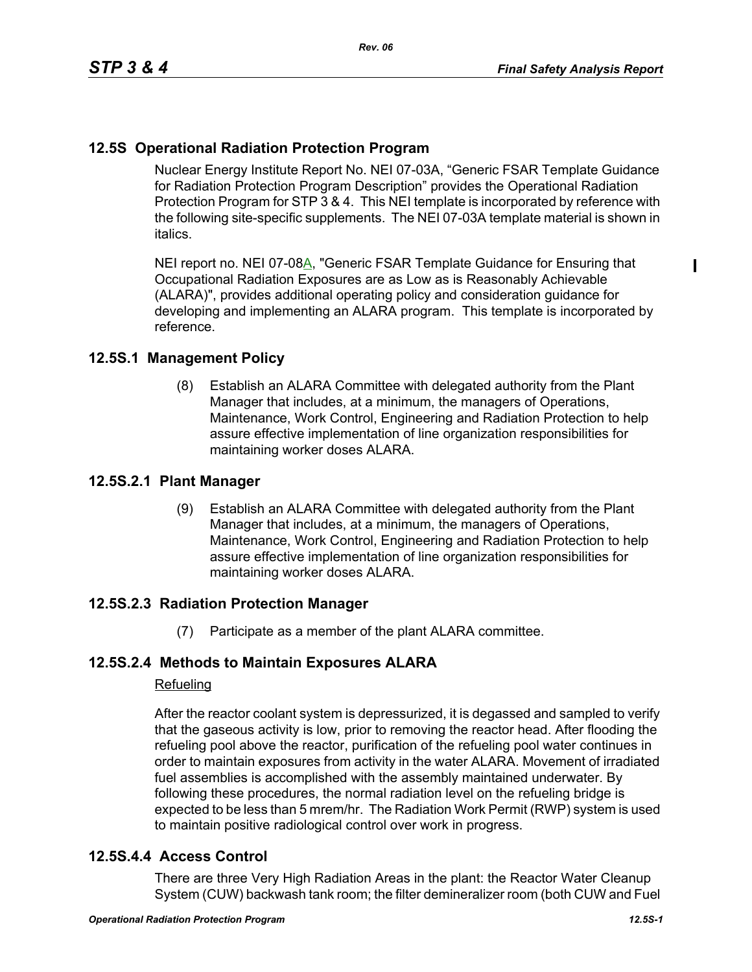# **12.5S Operational Radiation Protection Program**

Nuclear Energy Institute Report No. NEI 07-03A, "Generic FSAR Template Guidance for Radiation Protection Program Description" provides the Operational Radiation Protection Program for STP 3 & 4. This NEI template is incorporated by reference with the following site-specific supplements. The NEI 07-03A template material is shown in italics.

NEI report no. NEI 07-08A, "Generic FSAR Template Guidance for Ensuring that Occupational Radiation Exposures are as Low as is Reasonably Achievable (ALARA)", provides additional operating policy and consideration guidance for developing and implementing an ALARA program. This template is incorporated by reference.

### **12.5S.1 Management Policy**

(8) Establish an ALARA Committee with delegated authority from the Plant Manager that includes, at a minimum, the managers of Operations, Maintenance, Work Control, Engineering and Radiation Protection to help assure effective implementation of line organization responsibilities for maintaining worker doses ALARA.

#### **12.5S.2.1 Plant Manager**

(9) Establish an ALARA Committee with delegated authority from the Plant Manager that includes, at a minimum, the managers of Operations, Maintenance, Work Control, Engineering and Radiation Protection to help assure effective implementation of line organization responsibilities for maintaining worker doses ALARA.

## **12.5S.2.3 Radiation Protection Manager**

(7) Participate as a member of the plant ALARA committee.

## **12.5S.2.4 Methods to Maintain Exposures ALARA**

#### Refueling

After the reactor coolant system is depressurized, it is degassed and sampled to verify that the gaseous activity is low, prior to removing the reactor head. After flooding the refueling pool above the reactor, purification of the refueling pool water continues in order to maintain exposures from activity in the water ALARA. Movement of irradiated fuel assemblies is accomplished with the assembly maintained underwater. By following these procedures, the normal radiation level on the refueling bridge is expected to be less than 5 mrem/hr. The Radiation Work Permit (RWP) system is used to maintain positive radiological control over work in progress.

#### **12.5S.4.4 Access Control**

There are three Very High Radiation Areas in the plant: the Reactor Water Cleanup System (CUW) backwash tank room; the filter demineralizer room (both CUW and Fuel